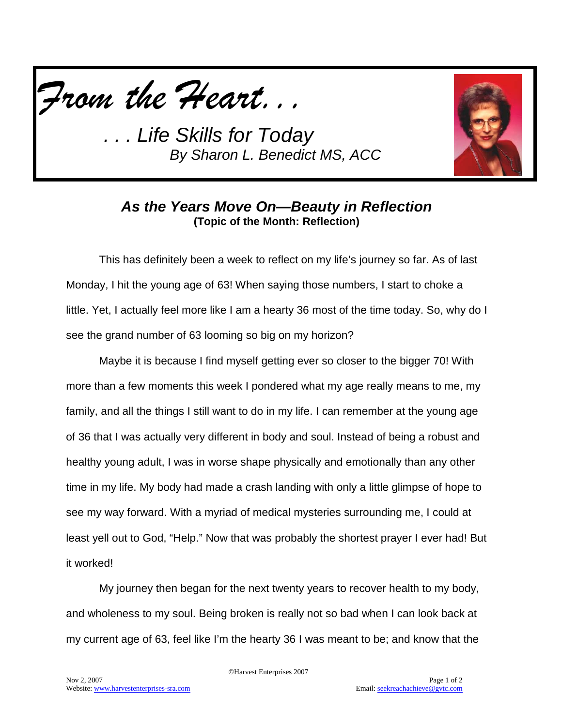



#### *As the Years Move On—Beauty in Reflection* **(Topic of the Month: Reflection)**

This has definitely been a week to reflect on my life's journey so far. As of last Monday, I hit the young age of 63! When saying those numbers, I start to choke a little. Yet, I actually feel more like I am a hearty 36 most of the time today. So, why do I see the grand number of 63 looming so big on my horizon?

Maybe it is because I find myself getting ever so closer to the bigger 70! With more than a few moments this week I pondered what my age really means to me, my family, and all the things I still want to do in my life. I can remember at the young age of 36 that I was actually very different in body and soul. Instead of being a robust and healthy young adult, I was in worse shape physically and emotionally than any other time in my life. My body had made a crash landing with only a little glimpse of hope to see my way forward. With a myriad of medical mysteries surrounding me, I could at least yell out to God, "Help." Now that was probably the shortest prayer I ever had! But it worked!

My journey then began for the next twenty years to recover health to my body, and wholeness to my soul. Being broken is really not so bad when I can look back at my current age of 63, feel like I'm the hearty 36 I was meant to be; and know that the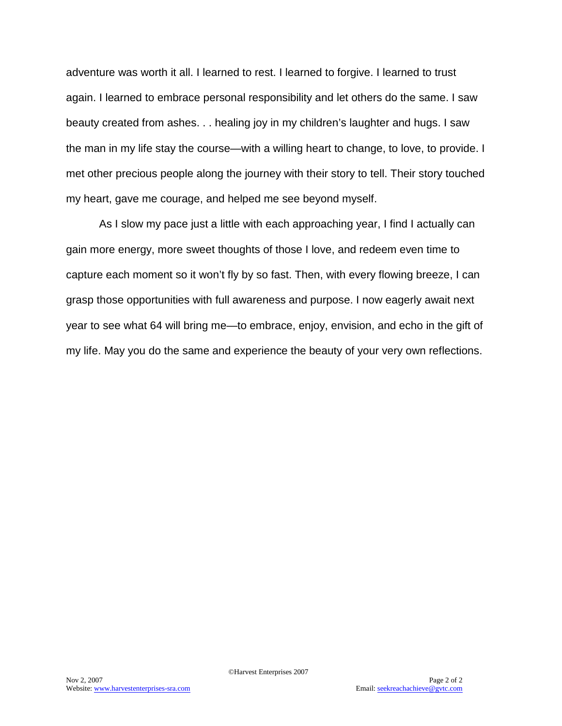adventure was worth it all. I learned to rest. I learned to forgive. I learned to trust again. I learned to embrace personal responsibility and let others do the same. I saw beauty created from ashes. . . healing joy in my children's laughter and hugs. I saw the man in my life stay the course—with a willing heart to change, to love, to provide. I met other precious people along the journey with their story to tell. Their story touched my heart, gave me courage, and helped me see beyond myself.

As I slow my pace just a little with each approaching year, I find I actually can gain more energy, more sweet thoughts of those I love, and redeem even time to capture each moment so it won't fly by so fast. Then, with every flowing breeze, I can grasp those opportunities with full awareness and purpose. I now eagerly await next year to see what 64 will bring me—to embrace, enjoy, envision, and echo in the gift of my life. May you do the same and experience the beauty of your very own reflections.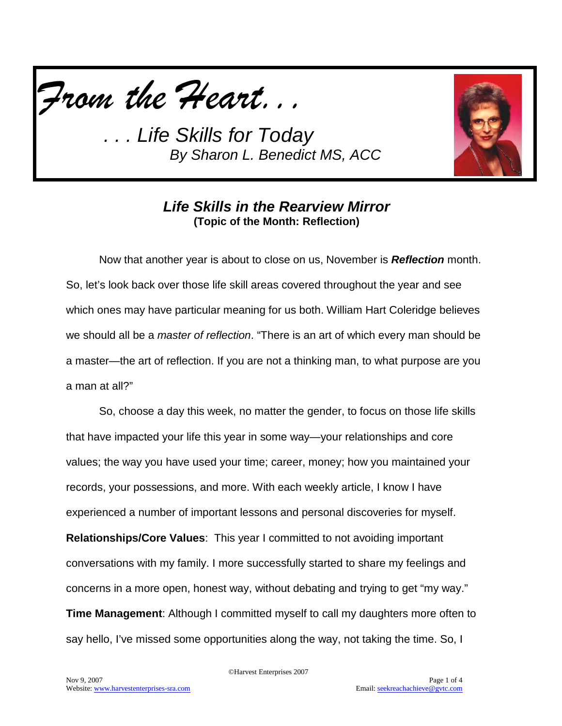



#### *Life Skills in the Rearview Mirror* **(Topic of the Month: Reflection)**

Now that another year is about to close on us, November is *Reflection* month. So, let's look back over those life skill areas covered throughout the year and see which ones may have particular meaning for us both. William Hart Coleridge believes we should all be a *master of reflection*. "There is an art of which every man should be a master—the art of reflection. If you are not a thinking man, to what purpose are you a man at all?"

So, choose a day this week, no matter the gender, to focus on those life skills that have impacted your life this year in some way—your relationships and core values; the way you have used your time; career, money; how you maintained your records, your possessions, and more. With each weekly article, I know I have experienced a number of important lessons and personal discoveries for myself. **Relationships/Core Values**: This year I committed to not avoiding important conversations with my family. I more successfully started to share my feelings and concerns in a more open, honest way, without debating and trying to get "my way." **Time Management**: Although I committed myself to call my daughters more often to say hello, I've missed some opportunities along the way, not taking the time. So, I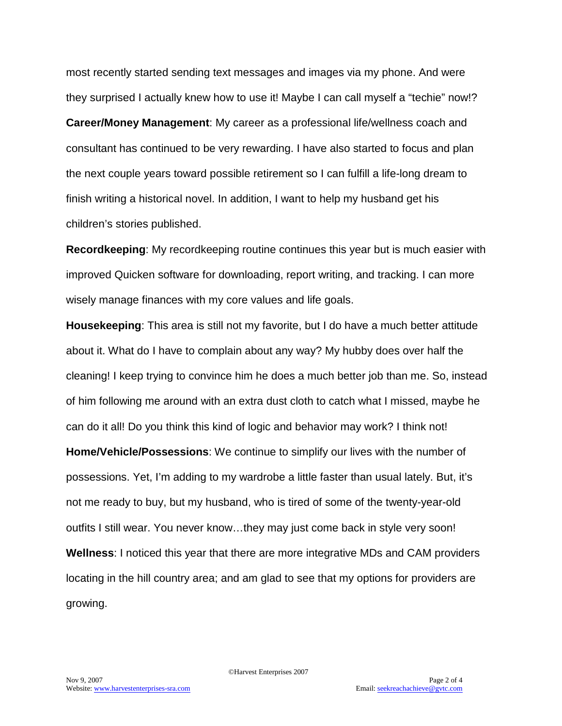most recently started sending text messages and images via my phone. And were they surprised I actually knew how to use it! Maybe I can call myself a "techie" now!? **Career/Money Management**: My career as a professional life/wellness coach and consultant has continued to be very rewarding. I have also started to focus and plan the next couple years toward possible retirement so I can fulfill a life-long dream to finish writing a historical novel. In addition, I want to help my husband get his children's stories published.

**Recordkeeping**: My recordkeeping routine continues this year but is much easier with improved Quicken software for downloading, report writing, and tracking. I can more wisely manage finances with my core values and life goals.

**Housekeeping**: This area is still not my favorite, but I do have a much better attitude about it. What do I have to complain about any way? My hubby does over half the cleaning! I keep trying to convince him he does a much better job than me. So, instead of him following me around with an extra dust cloth to catch what I missed, maybe he can do it all! Do you think this kind of logic and behavior may work? I think not! **Home/Vehicle/Possessions**: We continue to simplify our lives with the number of possessions. Yet, I'm adding to my wardrobe a little faster than usual lately. But, it's not me ready to buy, but my husband, who is tired of some of the twenty-year-old outfits I still wear. You never know…they may just come back in style very soon! **Wellness**: I noticed this year that there are more integrative MDs and CAM providers locating in the hill country area; and am glad to see that my options for providers are growing.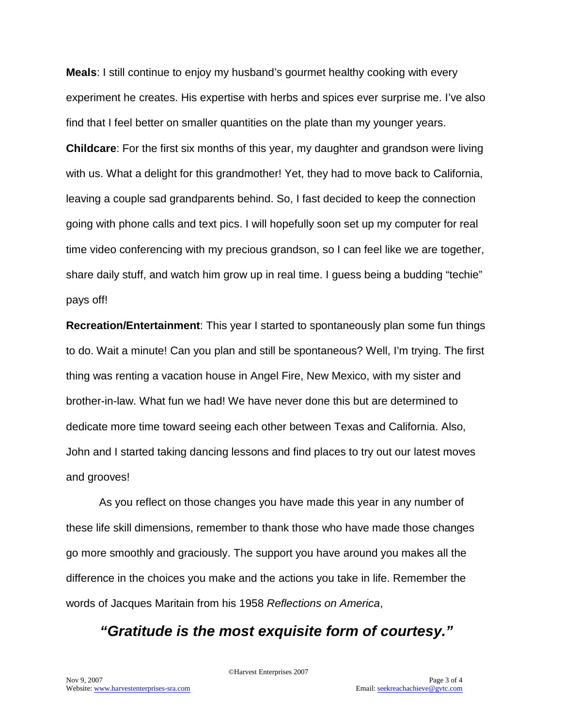**Meals**: I still continue to enjoy my husband's gourmet healthy cooking with every experiment he creates. His expertise with herbs and spices ever surprise me. I've also find that I feel better on smaller quantities on the plate than my younger years.

**Childcare**: For the first six months of this year, my daughter and grandson were living with us. What a delight for this grandmother! Yet, they had to move back to California, leaving a couple sad grandparents behind. So, I fast decided to keep the connection going with phone calls and text pics. I will hopefully soon set up my computer for real time video conferencing with my precious grandson, so I can feel like we are together, share daily stuff, and watch him grow up in real time. I guess being a budding "techie" pays off!

**Recreation/Entertainment**: This year I started to spontaneously plan some fun things to do. Wait a minute! Can you plan and still be spontaneous? Well, I'm trying. The first thing was renting a vacation house in Angel Fire, New Mexico, with my sister and brother-in-law. What fun we had! We have never done this but are determined to dedicate more time toward seeing each other between Texas and California. Also, John and I started taking dancing lessons and find places to try out our latest moves and grooves!

As you reflect on those changes you have made this year in any number of these life skill dimensions, remember to thank those who have made those changes go more smoothly and graciously. The support you have around you makes all the difference in the choices you make and the actions you take in life. Remember the words of Jacques Maritain from his 1958 *Reflections on America*,

## *"Gratitude is the most exquisite form of courtesy."*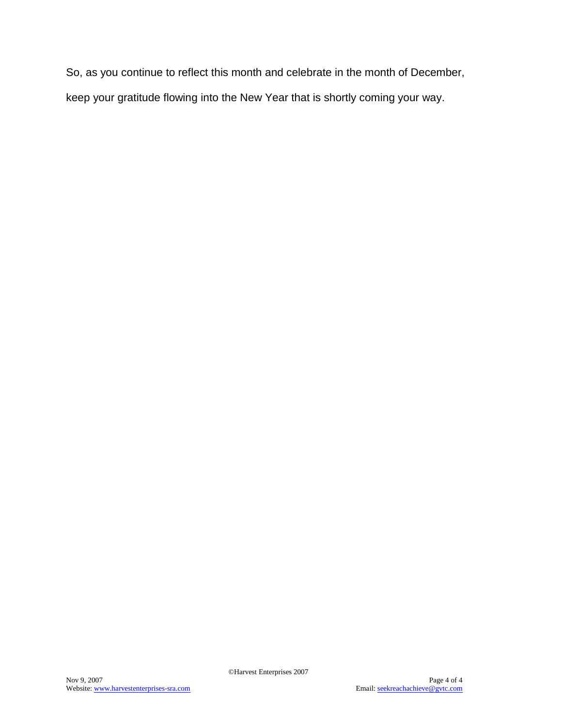So, as you continue to reflect this month and celebrate in the month of December, keep your gratitude flowing into the New Year that is shortly coming your way.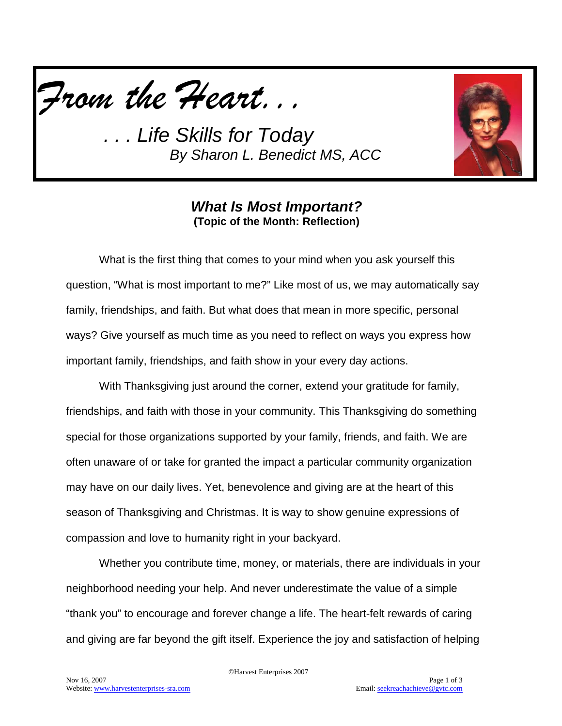



#### *What Is Most Important?* **(Topic of the Month: Reflection)**

What is the first thing that comes to your mind when you ask yourself this question, "What is most important to me?" Like most of us, we may automatically say family, friendships, and faith. But what does that mean in more specific, personal ways? Give yourself as much time as you need to reflect on ways you express how important family, friendships, and faith show in your every day actions.

With Thanksgiving just around the corner, extend your gratitude for family, friendships, and faith with those in your community. This Thanksgiving do something special for those organizations supported by your family, friends, and faith. We are often unaware of or take for granted the impact a particular community organization may have on our daily lives. Yet, benevolence and giving are at the heart of this season of Thanksgiving and Christmas. It is way to show genuine expressions of compassion and love to humanity right in your backyard.

Whether you contribute time, money, or materials, there are individuals in your neighborhood needing your help. And never underestimate the value of a simple "thank you" to encourage and forever change a life. The heart-felt rewards of caring and giving are far beyond the gift itself. Experience the joy and satisfaction of helping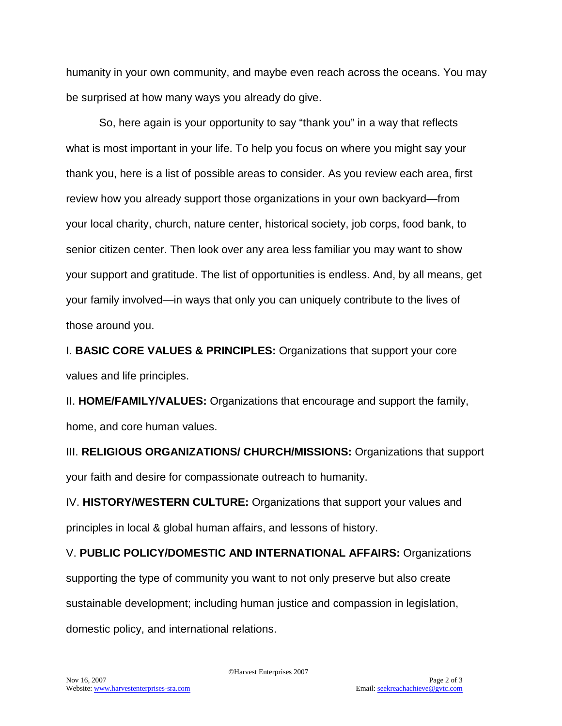humanity in your own community, and maybe even reach across the oceans. You may be surprised at how many ways you already do give.

So, here again is your opportunity to say "thank you" in a way that reflects what is most important in your life. To help you focus on where you might say your thank you, here is a list of possible areas to consider. As you review each area, first review how you already support those organizations in your own backyard—from your local charity, church, nature center, historical society, job corps, food bank, to senior citizen center. Then look over any area less familiar you may want to show your support and gratitude. The list of opportunities is endless. And, by all means, get your family involved—in ways that only you can uniquely contribute to the lives of those around you.

I. **BASIC CORE VALUES & PRINCIPLES:** Organizations that support your core values and life principles.

II. **HOME/FAMILY/VALUES:** Organizations that encourage and support the family, home, and core human values.

III. **RELIGIOUS ORGANIZATIONS/ CHURCH/MISSIONS:** Organizations that support your faith and desire for compassionate outreach to humanity.

IV. **HISTORY/WESTERN CULTURE:** Organizations that support your values and principles in local & global human affairs, and lessons of history.

V. **PUBLIC POLICY/DOMESTIC AND INTERNATIONAL AFFAIRS:** Organizations supporting the type of community you want to not only preserve but also create sustainable development; including human justice and compassion in legislation, domestic policy, and international relations.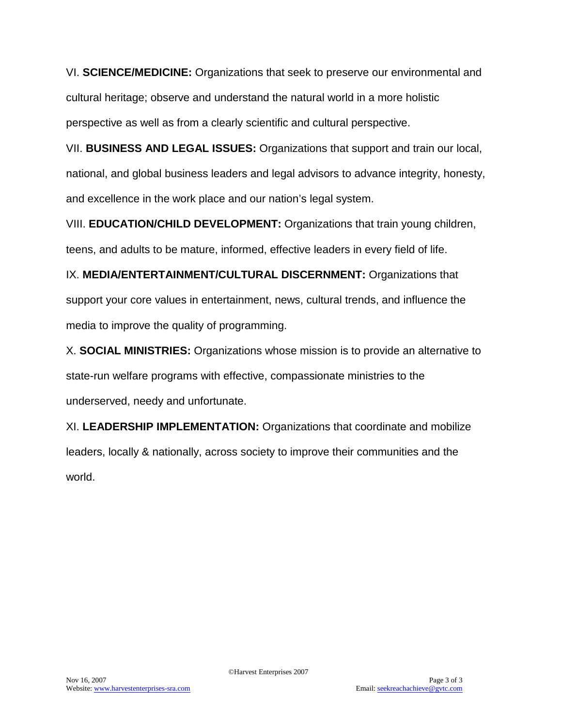VI. **SCIENCE/MEDICINE:** Organizations that seek to preserve our environmental and cultural heritage; observe and understand the natural world in a more holistic perspective as well as from a clearly scientific and cultural perspective.

VII. **BUSINESS AND LEGAL ISSUES:** Organizations that support and train our local, national, and global business leaders and legal advisors to advance integrity, honesty, and excellence in the work place and our nation's legal system.

VIII. **EDUCATION/CHILD DEVELOPMENT:** Organizations that train young children, teens, and adults to be mature, informed, effective leaders in every field of life.

IX. **MEDIA/ENTERTAINMENT/CULTURAL DISCERNMENT:** Organizations that support your core values in entertainment, news, cultural trends, and influence the media to improve the quality of programming.

X. **SOCIAL MINISTRIES:** Organizations whose mission is to provide an alternative to state-run welfare programs with effective, compassionate ministries to the underserved, needy and unfortunate.

XI. **LEADERSHIP IMPLEMENTATION:** Organizations that coordinate and mobilize leaders, locally & nationally, across society to improve their communities and the world.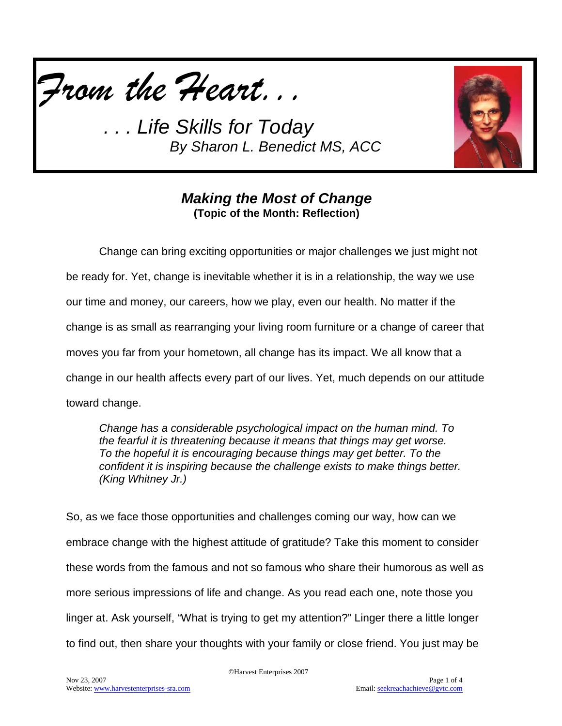*From the Heart...*



### *Making the Most of Change* **(Topic of the Month: Reflection)**

Change can bring exciting opportunities or major challenges we just might not be ready for. Yet, change is inevitable whether it is in a relationship, the way we use our time and money, our careers, how we play, even our health. No matter if the change is as small as rearranging your living room furniture or a change of career that moves you far from your hometown, all change has its impact. We all know that a change in our health affects every part of our lives. Yet, much depends on our attitude toward change.

*Change has a considerable psychological impact on the human mind. To the fearful it is threatening because it means that things may get worse. To the hopeful it is encouraging because things may get better. To the confident it is inspiring because the challenge exists to make things better. (King Whitney Jr.)*

So, as we face those opportunities and challenges coming our way, how can we embrace change with the highest attitude of gratitude? Take this moment to consider these words from the famous and not so famous who share their humorous as well as more serious impressions of life and change. As you read each one, note those you linger at. Ask yourself, "What is trying to get my attention?" Linger there a little longer to find out, then share your thoughts with your family or close friend. You just may be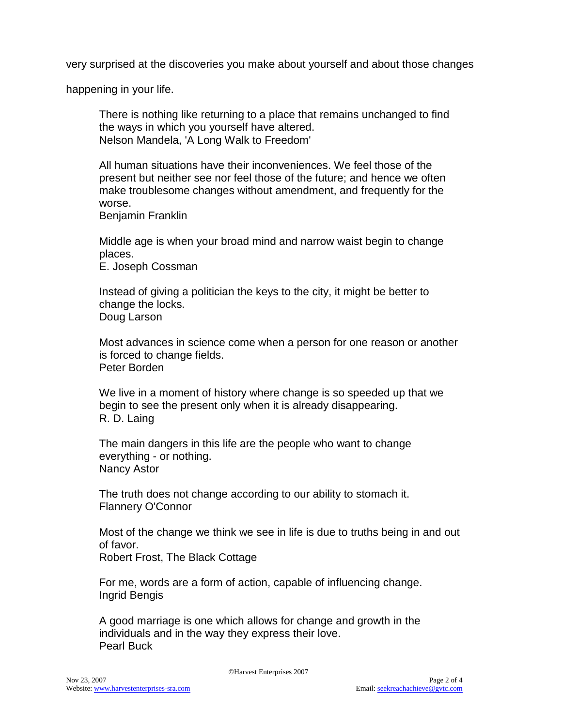very surprised at the discoveries you make about yourself and about those changes

happening in your life.

There is nothing like returning to a place that remains unchanged to find the ways in which you yourself have altered. Nelson Mandela, 'A Long Walk to Freedom'

All human situations have their inconveniences. We feel those of the present but neither see nor feel those of the future; and hence we often make troublesome changes without amendment, and frequently for the worse.

Benjamin Franklin

Middle age is when your broad mind and narrow waist begin to change places.

E. Joseph Cossman

Instead of giving a politician the keys to the city, it might be better to change the locks. Doug Larson

Most advances in science come when a person for one reason or another is forced to change fields. Peter Borden

We live in a moment of history where change is so speeded up that we begin to see the present only when it is already disappearing. R. D. Laing

The main dangers in this life are the people who want to change everything - or nothing. Nancy Astor

The truth does not change according to our ability to stomach it. Flannery O'Connor

Most of the change we think we see in life is due to truths being in and out of favor.

Robert Frost, The Black Cottage

For me, words are a form of action, capable of influencing change. Ingrid Bengis

A good marriage is one which allows for change and growth in the individuals and in the way they express their love. Pearl Buck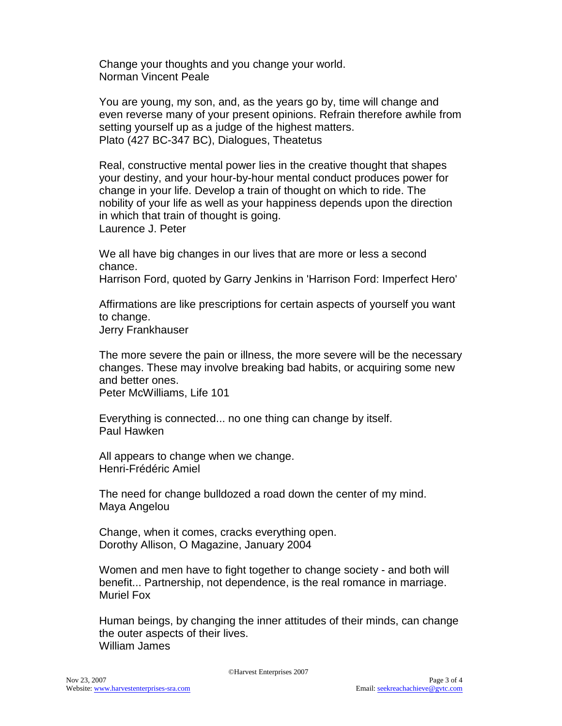Change your thoughts and you change your world. Norman Vincent Peale

You are young, my son, and, as the years go by, time will change and even reverse many of your present opinions. Refrain therefore awhile from setting yourself up as a judge of the highest matters. Plato (427 BC-347 BC), Dialogues, Theatetus

Real, constructive mental power lies in the creative thought that shapes your destiny, and your hour-by-hour mental conduct produces power for change in your life. Develop a train of thought on which to ride. The nobility of your life as well as your happiness depends upon the direction in which that train of thought is going. Laurence J. Peter

We all have big changes in our lives that are more or less a second chance.

Harrison Ford, quoted by Garry Jenkins in 'Harrison Ford: Imperfect Hero'

Affirmations are like prescriptions for certain aspects of yourself you want to change.

Jerry Frankhauser

The more severe the pain or illness, the more severe will be the necessary changes. These may involve breaking bad habits, or acquiring some new and better ones. Peter McWilliams, Life 101

Everything is connected... no one thing can change by itself. Paul Hawken

All appears to change when we change. Henri-Frédéric Amiel

The need for change bulldozed a road down the center of my mind. Maya Angelou

Change, when it comes, cracks everything open. Dorothy Allison, O Magazine, January 2004

Women and men have to fight together to change society - and both will benefit... Partnership, not dependence, is the real romance in marriage. Muriel Fox

Human beings, by changing the inner attitudes of their minds, can change the outer aspects of their lives. William James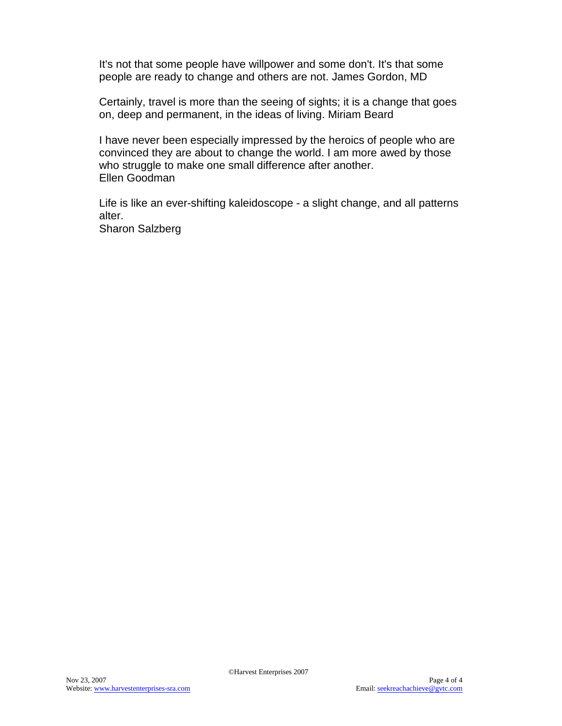It's not that some people have willpower and some don't. It's that some people are ready to change and others are not. James Gordon, MD

Certainly, travel is more than the seeing of sights; it is a change that goes on, deep and permanent, in the ideas of living. Miriam Beard

I have never been especially impressed by the heroics of people who are convinced they are about to change the world. I am more awed by those who struggle to make one small difference after another. Ellen Goodman

Life is like an ever-shifting kaleidoscope - a slight change, and all patterns alter. Sharon Salzberg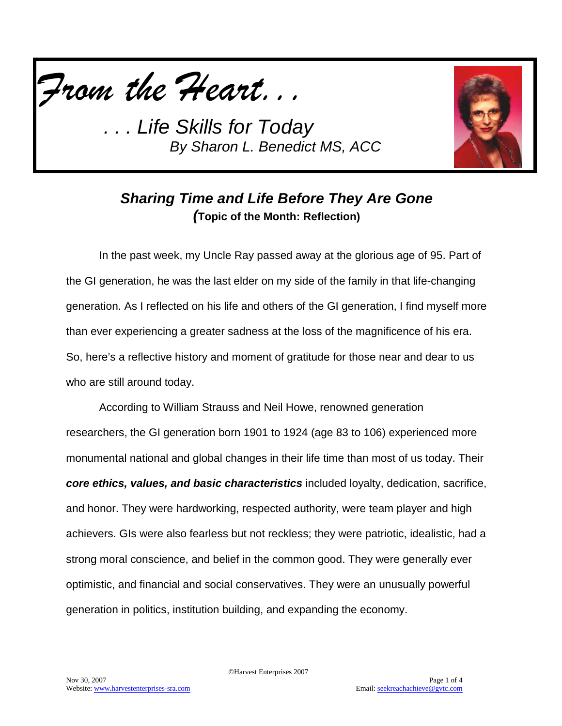*From the Heart...*



# *Sharing Time and Life Before They Are Gone (***Topic of the Month: Reflection)**

In the past week, my Uncle Ray passed away at the glorious age of 95. Part of the GI generation, he was the last elder on my side of the family in that life-changing generation. As I reflected on his life and others of the GI generation, I find myself more than ever experiencing a greater sadness at the loss of the magnificence of his era. So, here's a reflective history and moment of gratitude for those near and dear to us who are still around today.

According to William Strauss and Neil Howe, renowned generation researchers, the GI generation born 1901 to 1924 (age 83 to 106) experienced more monumental national and global changes in their life time than most of us today. Their *core ethics, values, and basic characteristics* included loyalty, dedication, sacrifice, and honor. They were hardworking, respected authority, were team player and high achievers. GIs were also fearless but not reckless; they were patriotic, idealistic, had a strong moral conscience, and belief in the common good. They were generally ever optimistic, and financial and social conservatives. They were an unusually powerful generation in politics, institution building, and expanding the economy.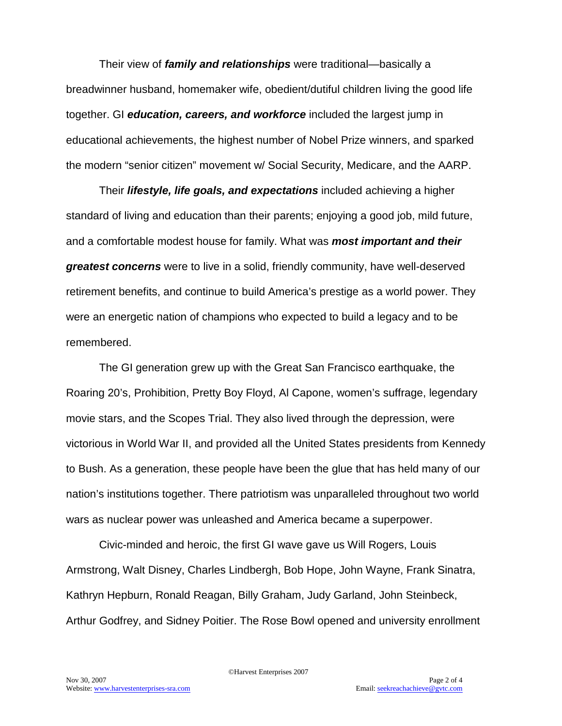Their view of *family and relationships* were traditional—basically a breadwinner husband, homemaker wife, obedient/dutiful children living the good life together. GI *education, careers, and workforce* included the largest jump in educational achievements, the highest number of Nobel Prize winners, and sparked the modern "senior citizen" movement w/ Social Security, Medicare, and the AARP.

Their *lifestyle, life goals, and expectations* included achieving a higher standard of living and education than their parents; enjoying a good job, mild future, and a comfortable modest house for family. What was *most important and their greatest concerns* were to live in a solid, friendly community, have well-deserved retirement benefits, and continue to build America's prestige as a world power. They were an energetic nation of champions who expected to build a legacy and to be remembered.

The GI generation grew up with the Great San Francisco earthquake, the Roaring 20's, Prohibition, Pretty Boy Floyd, Al Capone, women's suffrage, legendary movie stars, and the Scopes Trial. They also lived through the depression, were victorious in World War II, and provided all the United States presidents from Kennedy to Bush. As a generation, these people have been the glue that has held many of our nation's institutions together. There patriotism was unparalleled throughout two world wars as nuclear power was unleashed and America became a superpower.

Civic-minded and heroic, the first GI wave gave us Will Rogers, Louis Armstrong, Walt Disney, Charles Lindbergh, Bob Hope, John Wayne, Frank Sinatra, Kathryn Hepburn, Ronald Reagan, Billy Graham, Judy Garland, John Steinbeck, Arthur Godfrey, and Sidney Poitier. The Rose Bowl opened and university enrollment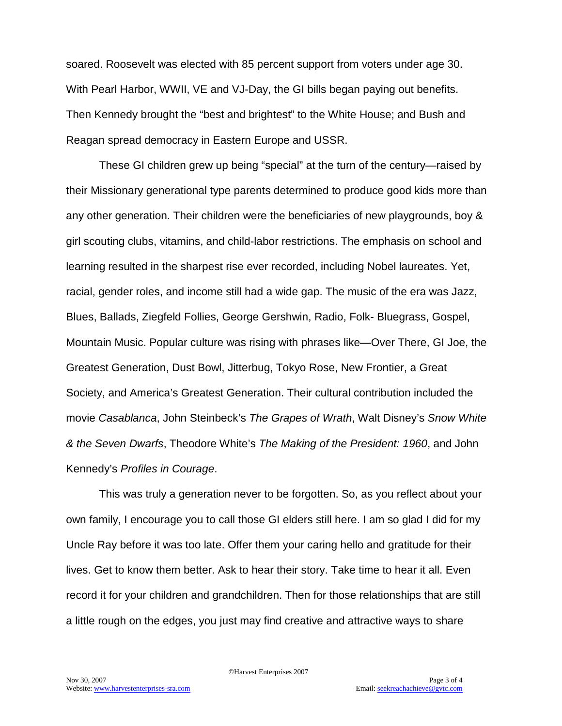soared. Roosevelt was elected with 85 percent support from voters under age 30. With Pearl Harbor, WWII, VE and VJ-Day, the GI bills began paying out benefits. Then Kennedy brought the "best and brightest" to the White House; and Bush and Reagan spread democracy in Eastern Europe and USSR.

These GI children grew up being "special" at the turn of the century—raised by their Missionary generational type parents determined to produce good kids more than any other generation. Their children were the beneficiaries of new playgrounds, boy & girl scouting clubs, vitamins, and child-labor restrictions. The emphasis on school and learning resulted in the sharpest rise ever recorded, including Nobel laureates. Yet, racial, gender roles, and income still had a wide gap. The music of the era was Jazz, Blues, Ballads, Ziegfeld Follies, George Gershwin, Radio, Folk- Bluegrass, Gospel, Mountain Music. Popular culture was rising with phrases like—Over There, GI Joe, the Greatest Generation, Dust Bowl, Jitterbug, Tokyo Rose, New Frontier, a Great Society, and America's Greatest Generation. Their cultural contribution included the movie *Casablanca*, John Steinbeck's *The Grapes of Wrath*, Walt Disney's *Snow White & the Seven Dwarfs*, Theodore White's *The Making of the President: 1960*, and John Kennedy's *Profiles in Courage*.

This was truly a generation never to be forgotten. So, as you reflect about your own family, I encourage you to call those GI elders still here. I am so glad I did for my Uncle Ray before it was too late. Offer them your caring hello and gratitude for their lives. Get to know them better. Ask to hear their story. Take time to hear it all. Even record it for your children and grandchildren. Then for those relationships that are still a little rough on the edges, you just may find creative and attractive ways to share